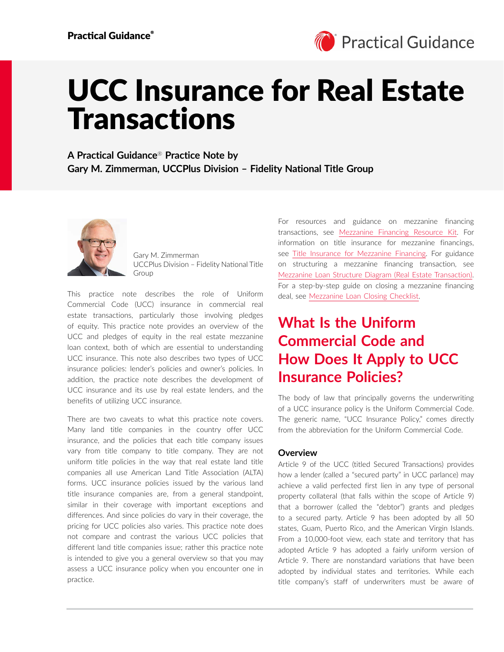

# UCC Insurance for Real Estate Transactions

**A Practical Guidance**® **Practice Note by Gary M. Zimmerman, UCCPlus Division – Fidelity National Title Group**



Gary M. Zimmerman UCCPlus Division – Fidelity National Title Group

This practice note describes the role of Uniform Commercial Code (UCC) insurance in commercial real estate transactions, particularly those involving pledges of equity. This practice note provides an overview of the UCC and pledges of equity in the real estate mezzanine loan context, both of which are essential to understanding UCC insurance. This note also describes two types of UCC insurance policies: lender's policies and owner's policies. In addition, the practice note describes the development of UCC insurance and its use by real estate lenders, and the benefits of utilizing UCC insurance.

There are two caveats to what this practice note covers. Many land title companies in the country offer UCC insurance, and the policies that each title company issues vary from title company to title company. They are not uniform title policies in the way that real estate land title companies all use American Land Title Association (ALTA) forms. UCC insurance policies issued by the various land title insurance companies are, from a general standpoint, similar in their coverage with important exceptions and differences. And since policies do vary in their coverage, the pricing for UCC policies also varies. This practice note does not compare and contrast the various UCC policies that different land title companies issue; rather this practice note is intended to give you a general overview so that you may assess a UCC insurance policy when you encounter one in practice.

For resources and guidance on mezzanine financing transactions, see [Mezzanine Financing Resource Kit](https://advance.lexis.com/open/document/lpadocument/?pdmfid=1000522&pddocfullpath=%2Fshared%2Fdocument%2Fanalytical-materials%2Furn%3AcontentItem%3A5YRF-N5H1-JF75-M2D2-00000-00&pdcontentcomponentid=500749&pdteaserkey=sr0&pditab=allpods&ecomp=ztrg&earg=sr0). For information on title insurance for mezzanine financings, see [Title Insurance for Mezzanine Financing](https://advance.lexis.com/open/document/lpadocument/?pdmfid=1000522&pddocfullpath=%2Fshared%2Fdocument%2Fanalytical-materials%2Furn%3AcontentItem%3A5T53-2961-F4GK-M37P-00000-00&pdcontentcomponentid=500749&pdteaserkey=sr1&pditab=allpods&ecomp=ztrg&earg=sr1). For guidance on structuring a mezzanine financing transaction, see [Mezzanine Loan Structure Diagram \(Real Estate Transaction\).](https://advance.lexis.com/open/document/lpadocument/?pdmfid=1000522&pddocfullpath=%2Fshared%2Fdocument%2Fforms%2Furn%3AcontentItem%3A5XCP-9Y91-DYV0-G4XD-00000-00&pdcontentcomponentid=500751&pdteaserkey=sr0&pditab=allpods&ecomp=ztrg&earg=sr0) For a step-by-step guide on closing a mezzanine financing deal, see [Mezzanine Loan Closing Checklist.](https://advance.lexis.com/open/document/lpadocument/?pdmfid=1000522&pddocfullpath=%2Fshared%2Fdocument%2Fforms%2Furn%3AcontentItem%3A5KM1-FHY1-FFMK-M0M2-00000-00&pdcontentcomponentid=500751&pdteaserkey=sr0&pditab=allpods&ecomp=ztrg&earg=sr0)

# **What Is the Uniform Commercial Code and How Does It Apply to UCC Insurance Policies?**

The body of law that principally governs the underwriting of a UCC insurance policy is the Uniform Commercial Code. The generic name, "UCC Insurance Policy," comes directly from the abbreviation for the Uniform Commercial Code.

### **Overview**

Article 9 of the UCC (titled Secured Transactions) provides how a lender (called a "secured party" in UCC parlance) may achieve a valid perfected first lien in any type of personal property collateral (that falls within the scope of Article 9) that a borrower (called the "debtor") grants and pledges to a secured party. Article 9 has been adopted by all 50 states, Guam, Puerto Rico, and the American Virgin Islands. From a 10,000-foot view, each state and territory that has adopted Article 9 has adopted a fairly uniform version of Article 9. There are nonstandard variations that have been adopted by individual states and territories. While each title company's staff of underwriters must be aware of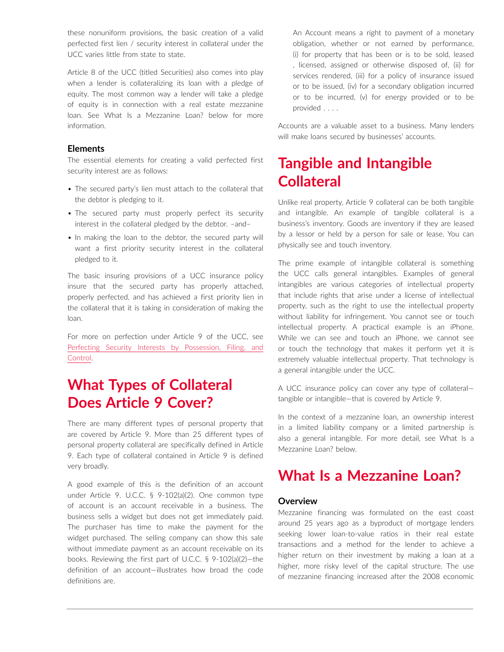these nonuniform provisions, the basic creation of a valid perfected first lien / security interest in collateral under the UCC varies little from state to state.

Article 8 of the UCC (titled Securities) also comes into play when a lender is collateralizing its loan with a pledge of equity. The most common way a lender will take a pledge of equity is in connection with a real estate mezzanine loan. See What Is a Mezzanine Loan? below for more information.

### **Elements**

The essential elements for creating a valid perfected first security interest are as follows:

- The secured party's lien must attach to the collateral that the debtor is pledging to it.
- The secured party must properly perfect its security interest in the collateral pledged by the debtor. –and–
- In making the loan to the debtor, the secured party will want a first priority security interest in the collateral pledged to it.

The basic insuring provisions of a UCC insurance policy insure that the secured party has properly attached, properly perfected, and has achieved a first priority lien in the collateral that it is taking in consideration of making the loan.

For more on perfection under Article 9 of the UCC, see [Perfecting Security Interests by Possession, Filing, and](https://advance.lexis.com/open/document/lpadocument/?pdmfid=1000522&pddocfullpath=%2Fshared%2Fdocument%2Fanalytical-materials%2Furn%3AcontentItem%3A5B7C-6TX1-F65M-62GD-00000-00&pdcontentcomponentid=500749&pdteaserkey=sr0&pditab=allpods&ecomp=ztrg&earg=sr0)  [Control.](https://advance.lexis.com/open/document/lpadocument/?pdmfid=1000522&pddocfullpath=%2Fshared%2Fdocument%2Fanalytical-materials%2Furn%3AcontentItem%3A5B7C-6TX1-F65M-62GD-00000-00&pdcontentcomponentid=500749&pdteaserkey=sr0&pditab=allpods&ecomp=ztrg&earg=sr0)

# **What Types of Collateral Does Article 9 Cover?**

There are many different types of personal property that are covered by Article 9. More than 25 different types of personal property collateral are specifically defined in Article 9. Each type of collateral contained in Article 9 is defined very broadly.

A good example of this is the definition of an account under Article 9. U.C.C. § 9-102(a)(2). One common type of account is an account receivable in a business. The business sells a widget but does not get immediately paid. The purchaser has time to make the payment for the widget purchased. The selling company can show this sale without immediate payment as an account receivable on its books. Reviewing the first part of U.C.C. § 9-102(a)(2)—the definition of an account—illustrates how broad the code definitions are.

An Account means a right to payment of a monetary obligation, whether or not earned by performance, (i) for property that has been or is to be sold, leased , licensed, assigned or otherwise disposed of, (ii) for services rendered, (iii) for a policy of insurance issued or to be issued, (iv) for a secondary obligation incurred or to be incurred, (v) for energy provided or to be provided . . . .

Accounts are a valuable asset to a business. Many lenders will make loans secured by businesses' accounts.

# **Tangible and Intangible Collateral**

Unlike real property, Article 9 collateral can be both tangible and intangible. An example of tangible collateral is a business's inventory. Goods are inventory if they are leased by a lessor or held by a person for sale or lease. You can physically see and touch inventory.

The prime example of intangible collateral is something the UCC calls general intangibles. Examples of general intangibles are various categories of intellectual property that include rights that arise under a license of intellectual property, such as the right to use the intellectual property without liability for infringement. You cannot see or touch intellectual property. A practical example is an iPhone. While we can see and touch an iPhone, we cannot see or touch the technology that makes it perform yet it is extremely valuable intellectual property. That technology is a general intangible under the UCC.

A UCC insurance policy can cover any type of collateral tangible or intangible—that is covered by Article 9.

In the context of a mezzanine loan, an ownership interest in a limited liability company or a limited partnership is also a general intangible. For more detail, see What Is a Mezzanine Loan? below.

### **What Is a Mezzanine Loan?**

### **Overview**

Mezzanine financing was formulated on the east coast around 25 years ago as a byproduct of mortgage lenders seeking lower loan-to-value ratios in their real estate transactions and a method for the lender to achieve a higher return on their investment by making a loan at a higher, more risky level of the capital structure. The use of mezzanine financing increased after the 2008 economic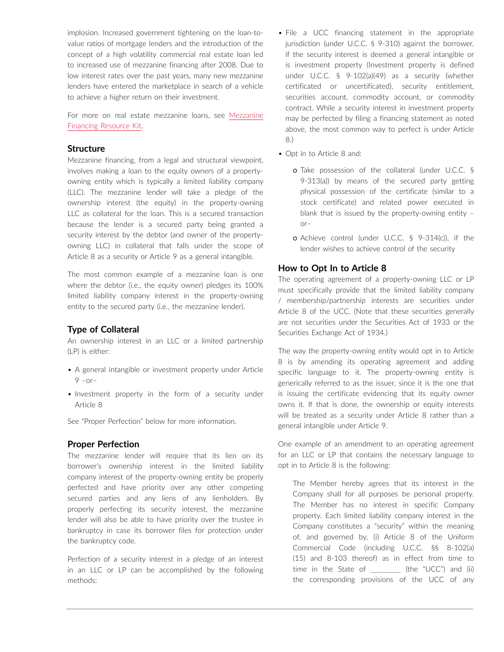implosion. Increased government tightening on the loan-tovalue ratios of mortgage lenders and the introduction of the concept of a high volatility commercial real estate loan led to increased use of mezzanine financing after 2008. Due to low interest rates over the past years, many new mezzanine lenders have entered the marketplace in search of a vehicle to achieve a higher return on their investment.

For more on real estate mezzanine loans, see [Mezzanine](https://advance.lexis.com/open/document/lpadocument/?pdmfid=1000522&pddocfullpath=%2Fshared%2Fdocument%2Fanalytical-materials%2Furn%3AcontentItem%3A5YRF-N5H1-JF75-M2D2-00000-00&pdcontentcomponentid=500749&pdteaserkey=sr0&pditab=allpods&ecomp=ztrg&earg=sr0)  [Financing Resource Kit.](https://advance.lexis.com/open/document/lpadocument/?pdmfid=1000522&pddocfullpath=%2Fshared%2Fdocument%2Fanalytical-materials%2Furn%3AcontentItem%3A5YRF-N5H1-JF75-M2D2-00000-00&pdcontentcomponentid=500749&pdteaserkey=sr0&pditab=allpods&ecomp=ztrg&earg=sr0)

### **Structure**

Mezzanine financing, from a legal and structural viewpoint, involves making a loan to the equity owners of a propertyowning entity which is typically a limited liability company (LLC). The mezzanine lender will take a pledge of the ownership interest (the equity) in the property-owning LLC as collateral for the loan. This is a secured transaction because the lender is a secured party being granted a security interest by the debtor (and owner of the propertyowning LLC) in collateral that falls under the scope of Article 8 as a security or Article 9 as a general intangible.

The most common example of a mezzanine loan is one where the debtor (i.e., the equity owner) pledges its 100% limited liability company interest in the property-owning entity to the secured party (i.e., the mezzanine lender).

#### **Type of Collateral**

An ownership interest in an LLC or a limited partnership (LP) is either:

- A general intangible or investment property under Article  $9 - or -$
- Investment property in the form of a security under Article 8

See "Proper Perfection" below for more information.

#### **Proper Perfection**

The mezzanine lender will require that its lien on its borrower's ownership interest in the limited liability company interest of the property-owning entity be properly perfected and have priority over any other competing secured parties and any liens of any lienholders. By properly perfecting its security interest, the mezzanine lender will also be able to have priority over the trustee in bankruptcy in case its borrower files for protection under the bankruptcy code.

Perfection of a security interest in a pledge of an interest in an LLC or LP can be accomplished by the following methods:

- File a UCC financing statement in the appropriate jurisdiction (under U.C.C. § 9-310) against the borrower, if the security interest is deemed a general intangible or is investment property (Investment property is defined under U.C.C. § 9-102(a)(49) as a security (whether certificated or uncertificated), security entitlement, securities account, commodity account, or commodity contract. While a security interest in investment property may be perfected by filing a financing statement as noted above, the most common way to perfect is under Article 8.)
- Opt in to Article 8 and:
	- o Take possession of the collateral (under U.C.C. § 9-313(a)) by means of the secured party getting physical possession of the certificate (similar to a stock certificate) and related power executed in blank that is issued by the property-owning entity – or–
	- o Achieve control (under U.C.C. § 9-314(c)), if the lender wishes to achieve control of the security

#### **How to Opt In to Article 8**

The operating agreement of a property-owning LLC or LP must specifically provide that the limited liability company / membership/partnership interests are securities under Article 8 of the UCC. (Note that these securities generally are not securities under the Securities Act of 1933 or the Securities Exchange Act of 1934.)

The way the property-owning entity would opt in to Article 8 is by amending its operating agreement and adding specific language to it. The property-owning entity is generically referred to as the issuer, since it is the one that is issuing the certificate evidencing that its equity owner owns it. If that is done, the ownership or equity interests will be treated as a security under Article 8 rather than a general intangible under Article 9.

One example of an amendment to an operating agreement for an LLC or LP that contains the necessary language to opt in to Article 8 is the following:

The Member hereby agrees that its interest in the Company shall for all purposes be personal property. The Member has no interest in specific Company property. Each limited liability company interest in the Company constitutes a "security" within the meaning of, and governed by, (i) Article 8 of the Uniform Commercial Code (including U.C.C. §§ 8-102(a) (15) and 8-103 thereof) as in effect from time to time in the State of \_\_\_\_\_\_\_\_\_ (the "UCC") and (ii) the corresponding provisions of the UCC of any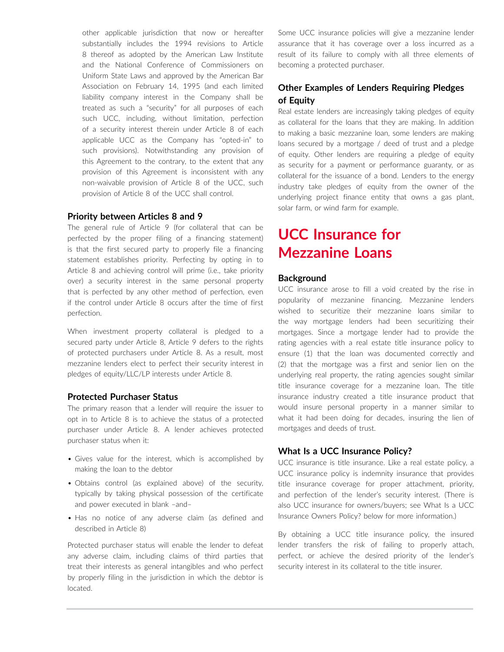other applicable jurisdiction that now or hereafter substantially includes the 1994 revisions to Article 8 thereof as adopted by the American Law Institute and the National Conference of Commissioners on Uniform State Laws and approved by the American Bar Association on February 14, 1995 (and each limited liability company interest in the Company shall be treated as such a "security" for all purposes of each such UCC, including, without limitation, perfection of a security interest therein under Article 8 of each applicable UCC as the Company has "opted-in" to such provisions). Notwithstanding any provision of this Agreement to the contrary, to the extent that any provision of this Agreement is inconsistent with any non-waivable provision of Article 8 of the UCC, such provision of Article 8 of the UCC shall control.

#### **Priority between Articles 8 and 9**

The general rule of Article 9 (for collateral that can be perfected by the proper filing of a financing statement) is that the first secured party to properly file a financing statement establishes priority. Perfecting by opting in to Article 8 and achieving control will prime (i.e., take priority over) a security interest in the same personal property that is perfected by any other method of perfection, even if the control under Article 8 occurs after the time of first perfection.

When investment property collateral is pledged to a secured party under Article 8, Article 9 defers to the rights of protected purchasers under Article 8. As a result, most mezzanine lenders elect to perfect their security interest in pledges of equity/LLC/LP interests under Article 8.

#### **Protected Purchaser Status**

The primary reason that a lender will require the issuer to opt in to Article 8 is to achieve the status of a protected purchaser under Article 8. A lender achieves protected purchaser status when it:

- Gives value for the interest, which is accomplished by making the loan to the debtor
- Obtains control (as explained above) of the security, typically by taking physical possession of the certificate and power executed in blank –and–
- Has no notice of any adverse claim (as defined and described in Article 8)

Protected purchaser status will enable the lender to defeat any adverse claim, including claims of third parties that treat their interests as general intangibles and who perfect by properly filing in the jurisdiction in which the debtor is located.

Some UCC insurance policies will give a mezzanine lender assurance that it has coverage over a loss incurred as a result of its failure to comply with all three elements of becoming a protected purchaser.

### **Other Examples of Lenders Requiring Pledges of Equity**

Real estate lenders are increasingly taking pledges of equity as collateral for the loans that they are making. In addition to making a basic mezzanine loan, some lenders are making loans secured by a mortgage / deed of trust and a pledge of equity. Other lenders are requiring a pledge of equity as security for a payment or performance guaranty, or as collateral for the issuance of a bond. Lenders to the energy industry take pledges of equity from the owner of the underlying project finance entity that owns a gas plant, solar farm, or wind farm for example.

# **UCC Insurance for Mezzanine Loans**

#### **Background**

UCC insurance arose to fill a void created by the rise in popularity of mezzanine financing. Mezzanine lenders wished to securitize their mezzanine loans similar to the way mortgage lenders had been securitizing their mortgages. Since a mortgage lender had to provide the rating agencies with a real estate title insurance policy to ensure (1) that the loan was documented correctly and (2) that the mortgage was a first and senior lien on the underlying real property, the rating agencies sought similar title insurance coverage for a mezzanine loan. The title insurance industry created a title insurance product that would insure personal property in a manner similar to what it had been doing for decades, insuring the lien of mortgages and deeds of trust.

### **What Is a UCC Insurance Policy?**

UCC insurance is title insurance. Like a real estate policy, a UCC insurance policy is indemnity insurance that provides title insurance coverage for proper attachment, priority, and perfection of the lender's security interest. (There is also UCC insurance for owners/buyers; see What Is a UCC Insurance Owners Policy? below for more information.)

By obtaining a UCC title insurance policy, the insured lender transfers the risk of failing to properly attach, perfect, or achieve the desired priority of the lender's security interest in its collateral to the title insurer.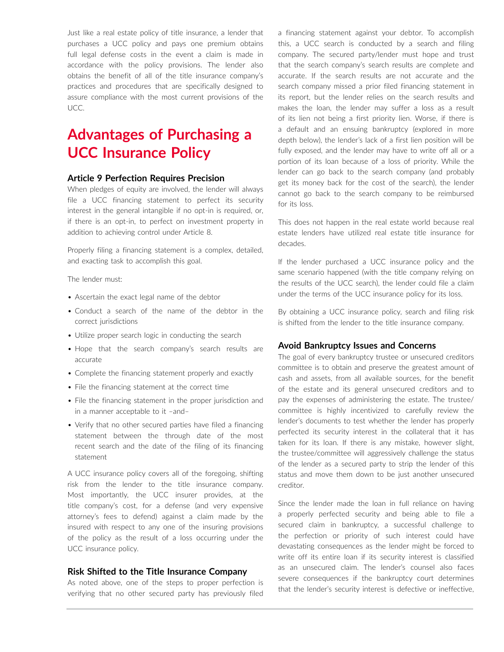Just like a real estate policy of title insurance, a lender that purchases a UCC policy and pays one premium obtains full legal defense costs in the event a claim is made in accordance with the policy provisions. The lender also obtains the benefit of all of the title insurance company's practices and procedures that are specifically designed to assure compliance with the most current provisions of the UCC.

## **Advantages of Purchasing a UCC Insurance Policy**

#### **Article 9 Perfection Requires Precision**

When pledges of equity are involved, the lender will always file a UCC financing statement to perfect its security interest in the general intangible if no opt-in is required, or, if there is an opt-in, to perfect on investment property in addition to achieving control under Article 8.

Properly filing a financing statement is a complex, detailed, and exacting task to accomplish this goal.

The lender must:

- Ascertain the exact legal name of the debtor
- Conduct a search of the name of the debtor in the correct jurisdictions
- Utilize proper search logic in conducting the search
- Hope that the search company's search results are accurate
- Complete the financing statement properly and exactly
- File the financing statement at the correct time
- File the financing statement in the proper jurisdiction and in a manner acceptable to it –and–
- Verify that no other secured parties have filed a financing statement between the through date of the most recent search and the date of the filing of its financing statement

A UCC insurance policy covers all of the foregoing, shifting risk from the lender to the title insurance company. Most importantly, the UCC insurer provides, at the title company's cost, for a defense (and very expensive attorney's fees to defend) against a claim made by the insured with respect to any one of the insuring provisions of the policy as the result of a loss occurring under the UCC insurance policy.

#### **Risk Shifted to the Title Insurance Company**

As noted above, one of the steps to proper perfection is verifying that no other secured party has previously filed a financing statement against your debtor. To accomplish this, a UCC search is conducted by a search and filing company. The secured party/lender must hope and trust that the search company's search results are complete and accurate. If the search results are not accurate and the search company missed a prior filed financing statement in its report, but the lender relies on the search results and makes the loan, the lender may suffer a loss as a result of its lien not being a first priority lien. Worse, if there is a default and an ensuing bankruptcy (explored in more depth below), the lender's lack of a first lien position will be fully exposed, and the lender may have to write off all or a portion of its loan because of a loss of priority. While the lender can go back to the search company (and probably get its money back for the cost of the search), the lender cannot go back to the search company to be reimbursed for its loss.

This does not happen in the real estate world because real estate lenders have utilized real estate title insurance for decades.

If the lender purchased a UCC insurance policy and the same scenario happened (with the title company relying on the results of the UCC search), the lender could file a claim under the terms of the UCC insurance policy for its loss.

By obtaining a UCC insurance policy, search and filing risk is shifted from the lender to the title insurance company.

#### **Avoid Bankruptcy Issues and Concerns**

The goal of every bankruptcy trustee or unsecured creditors committee is to obtain and preserve the greatest amount of cash and assets, from all available sources, for the benefit of the estate and its general unsecured creditors and to pay the expenses of administering the estate. The trustee/ committee is highly incentivized to carefully review the lender's documents to test whether the lender has properly perfected its security interest in the collateral that it has taken for its loan. If there is any mistake, however slight, the trustee/committee will aggressively challenge the status of the lender as a secured party to strip the lender of this status and move them down to be just another unsecured creditor.

Since the lender made the loan in full reliance on having a properly perfected security and being able to file a secured claim in bankruptcy, a successful challenge to the perfection or priority of such interest could have devastating consequences as the lender might be forced to write off its entire loan if its security interest is classified as an unsecured claim. The lender's counsel also faces severe consequences if the bankruptcy court determines that the lender's security interest is defective or ineffective,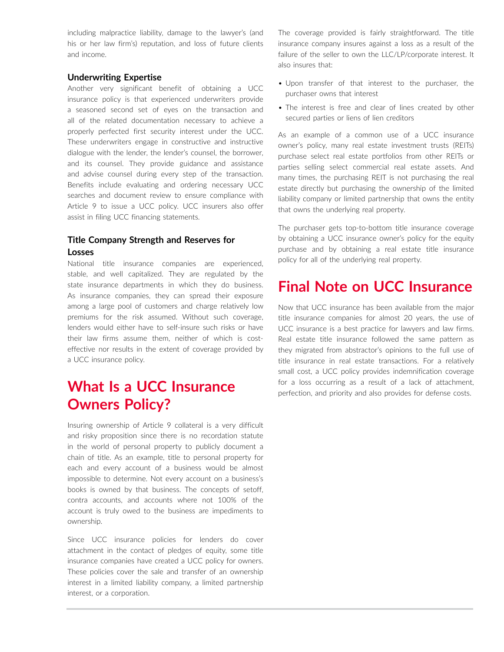including malpractice liability, damage to the lawyer's (and his or her law firm's) reputation, and loss of future clients and income.

### **Underwriting Expertise**

Another very significant benefit of obtaining a UCC insurance policy is that experienced underwriters provide a seasoned second set of eyes on the transaction and all of the related documentation necessary to achieve a properly perfected first security interest under the UCC. These underwriters engage in constructive and instructive dialogue with the lender, the lender's counsel, the borrower, and its counsel. They provide guidance and assistance and advise counsel during every step of the transaction. Benefits include evaluating and ordering necessary UCC searches and document review to ensure compliance with Article 9 to issue a UCC policy. UCC insurers also offer assist in filing UCC financing statements.

### **Title Company Strength and Reserves for Losses**

National title insurance companies are experienced, stable, and well capitalized. They are regulated by the state insurance departments in which they do business. As insurance companies, they can spread their exposure among a large pool of customers and charge relatively low premiums for the risk assumed. Without such coverage, lenders would either have to self-insure such risks or have their law firms assume them, neither of which is costeffective nor results in the extent of coverage provided by a UCC insurance policy.

# **What Is a UCC Insurance Owners Policy?**

Insuring ownership of Article 9 collateral is a very difficult and risky proposition since there is no recordation statute in the world of personal property to publicly document a chain of title. As an example, title to personal property for each and every account of a business would be almost impossible to determine. Not every account on a business's books is owned by that business. The concepts of setoff, contra accounts, and accounts where not 100% of the account is truly owed to the business are impediments to ownership.

Since UCC insurance policies for lenders do cover attachment in the contact of pledges of equity, some title insurance companies have created a UCC policy for owners. These policies cover the sale and transfer of an ownership interest in a limited liability company, a limited partnership interest, or a corporation.

The coverage provided is fairly straightforward. The title insurance company insures against a loss as a result of the failure of the seller to own the LLC/LP/corporate interest. It also insures that:

- Upon transfer of that interest to the purchaser, the purchaser owns that interest
- The interest is free and clear of lines created by other secured parties or liens of lien creditors

As an example of a common use of a UCC insurance owner's policy, many real estate investment trusts (REITs) purchase select real estate portfolios from other REITs or parties selling select commercial real estate assets. And many times, the purchasing REIT is not purchasing the real estate directly but purchasing the ownership of the limited liability company or limited partnership that owns the entity that owns the underlying real property.

The purchaser gets top-to-bottom title insurance coverage by obtaining a UCC insurance owner's policy for the equity purchase and by obtaining a real estate title insurance policy for all of the underlying real property.

### **Final Note on UCC Insurance**

Now that UCC insurance has been available from the major title insurance companies for almost 20 years, the use of UCC insurance is a best practice for lawyers and law firms. Real estate title insurance followed the same pattern as they migrated from abstractor's opinions to the full use of title insurance in real estate transactions. For a relatively small cost, a UCC policy provides indemnification coverage for a loss occurring as a result of a lack of attachment, perfection, and priority and also provides for defense costs.